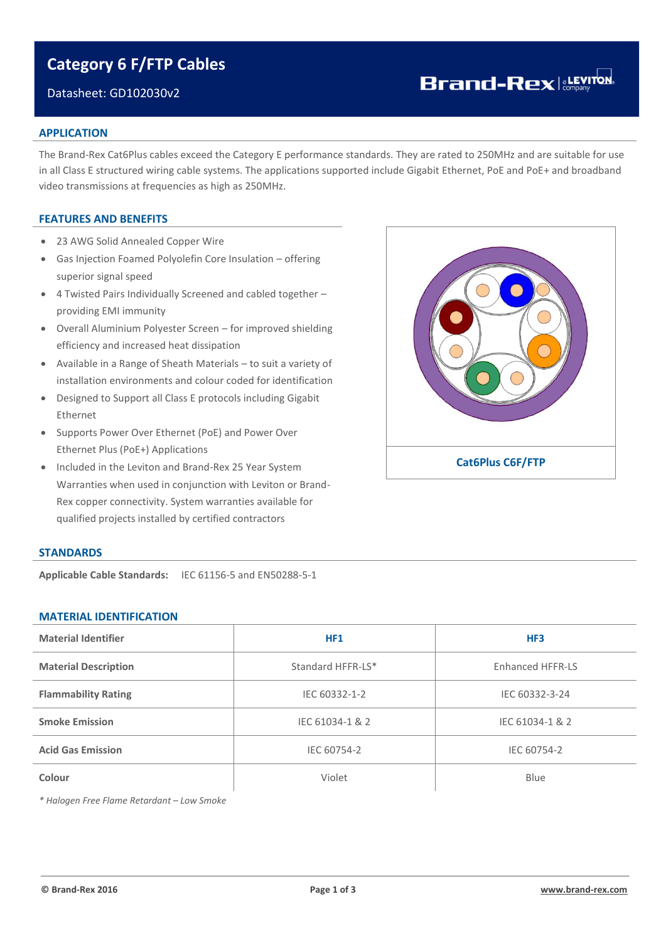# **Category 6 F/FTP Cables**

## Datasheet: GD102030v2

# **Brand-Rex**

#### **APPLICATION**

The Brand-Rex Cat6Plus cables exceed the Category E performance standards. They are rated to 250MHz and are suitable for use in all Class E structured wiring cable systems. The applications supported include Gigabit Ethernet, PoE and PoE+ and broadband video transmissions at frequencies as high as 250MHz.

### **FEATURES AND BENEFITS**

- 23 AWG Solid Annealed Copper Wire
- Gas Injection Foamed Polyolefin Core Insulation offering superior signal speed
- 4 Twisted Pairs Individually Screened and cabled together providing EMI immunity
- Overall Aluminium Polyester Screen for improved shielding efficiency and increased heat dissipation
- Available in a Range of Sheath Materials to suit a variety of installation environments and colour coded for identification
- Designed to Support all Class E protocols including Gigabit Ethernet
- Supports Power Over Ethernet (PoE) and Power Over Ethernet Plus (PoE+) Applications
- Included in the Leviton and Brand-Rex 25 Year System Warranties when used in conjunction with Leviton or Brand-Rex copper connectivity. System warranties available for qualified projects installed by certified contractors



### **STANDARDS**

**Applicable Cable Standards:** IEC 61156-5 and EN50288-5-1

### **MATERIAL IDENTIFICATION**

| <b>Material Identifier</b>  | <b>HF1</b>        | HF3                     |  |  |
|-----------------------------|-------------------|-------------------------|--|--|
| <b>Material Description</b> | Standard HFFR-LS* | <b>Enhanced HFFR-LS</b> |  |  |
| <b>Flammability Rating</b>  | IEC 60332-1-2     | IEC 60332-3-24          |  |  |
| <b>Smoke Emission</b>       | IEC 61034-1 & 2   | IEC 61034-1 & 2         |  |  |
| <b>Acid Gas Emission</b>    | IEC 60754-2       | IEC 60754-2             |  |  |
| Colour                      | Violet            | Blue                    |  |  |

*\* Halogen Free Flame Retardant – Low Smoke*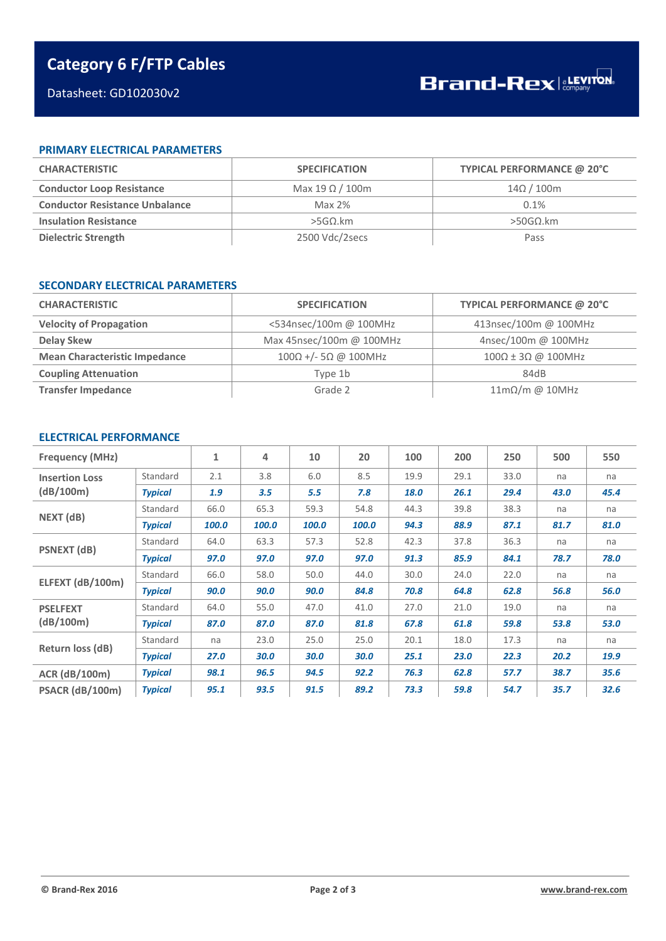# **Category 6 F/FTP Cables**

# Datasheet: GD102030v2

## **PRIMARY ELECTRICAL PARAMETERS**

| <b>CHARACTERISTIC</b>                 | <b>SPECIFICATION</b>   | TYPICAL PERFORMANCE @ 20°C |
|---------------------------------------|------------------------|----------------------------|
| <b>Conductor Loop Resistance</b>      | Max 19 $\Omega$ / 100m | $14\Omega/100$ m           |
| <b>Conductor Resistance Unbalance</b> | Max $2\%$              | 0.1%                       |
| <b>Insulation Resistance</b>          | $>$ 5GΩ.km             | $>$ 50GΩ.km                |
| Dielectric Strength                   | 2500 Vdc/2secs         | Pass                       |

#### **SECONDARY ELECTRICAL PARAMETERS**

| <b>CHARACTERISTIC</b>                | <b>SPECIFICATION</b>                | TYPICAL PERFORMANCE @ 20°C          |
|--------------------------------------|-------------------------------------|-------------------------------------|
| <b>Velocity of Propagation</b>       | <534nsec/100m @ 100MHz              | 413nsec/100m @ 100MHz               |
| <b>Delay Skew</b>                    | Max 45nsec/100m @ 100MHz            | 4nsec/100m @ 100MHz                 |
| <b>Mean Characteristic Impedance</b> | $100\Omega$ +/- 5 $\Omega$ @ 100MHz | $100\Omega \pm 3\Omega$ @ 100MHz    |
| <b>Coupling Attenuation</b>          | Type 1b                             | 84dB                                |
| <b>Transfer Impedance</b>            | Grade 2                             | $11\text{m}\Omega/\text{m}$ @ 10MHz |

# **ELECTRICAL PERFORMANCE**

| <b>Frequency (MHz)</b>             |                | $\mathbf{1}$ | 4     | 10    | 20    | 100  | 200  | 250  | 500  | 550  |
|------------------------------------|----------------|--------------|-------|-------|-------|------|------|------|------|------|
| <b>Insertion Loss</b><br>(dB/100m) | Standard       | 2.1          | 3.8   | 6.0   | 8.5   | 19.9 | 29.1 | 33.0 | na   | na   |
|                                    | <b>Typical</b> | 1.9          | 3.5   | 5.5   | 7.8   | 18.0 | 26.1 | 29.4 | 43.0 | 45.4 |
|                                    | Standard       | 66.0         | 65.3  | 59.3  | 54.8  | 44.3 | 39.8 | 38.3 | na   | na   |
| NEXT (dB)                          | <b>Typical</b> | 100.0        | 100.0 | 100.0 | 100.0 | 94.3 | 88.9 | 87.1 | 81.7 | 81.0 |
|                                    | Standard       | 64.0         | 63.3  | 57.3  | 52.8  | 42.3 | 37.8 | 36.3 | na   | na   |
| <b>PSNEXT</b> (dB)                 | <b>Typical</b> | 97.0         | 97.0  | 97.0  | 97.0  | 91.3 | 85.9 | 84.1 | 78.7 | 78.0 |
|                                    | Standard       | 66.0         | 58.0  | 50.0  | 44.0  | 30.0 | 24.0 | 22.0 | na   | na   |
| ELFEXT (dB/100m)                   | <b>Typical</b> | 90.0         | 90.0  | 90.0  | 84.8  | 70.8 | 64.8 | 62.8 | 56.8 | 56.0 |
| <b>PSELFEXT</b>                    | Standard       | 64.0         | 55.0  | 47.0  | 41.0  | 27.0 | 21.0 | 19.0 | na   | na   |
| (dB/100m)                          | <b>Typical</b> | 87.0         | 87.0  | 87.0  | 81.8  | 67.8 | 61.8 | 59.8 | 53.8 | 53.0 |
| Return loss (dB)                   | Standard       | na           | 23.0  | 25.0  | 25.0  | 20.1 | 18.0 | 17.3 | na   | na   |
|                                    | <b>Typical</b> | 27.0         | 30.0  | 30.0  | 30.0  | 25.1 | 23.0 | 22.3 | 20.2 | 19.9 |
| <b>ACR (dB/100m)</b>               | <b>Typical</b> | 98.1         | 96.5  | 94.5  | 92.2  | 76.3 | 62.8 | 57.7 | 38.7 | 35.6 |
| PSACR (dB/100m)                    | <b>Typical</b> | 95.1         | 93.5  | 91.5  | 89.2  | 73.3 | 59.8 | 54.7 | 35.7 | 32.6 |